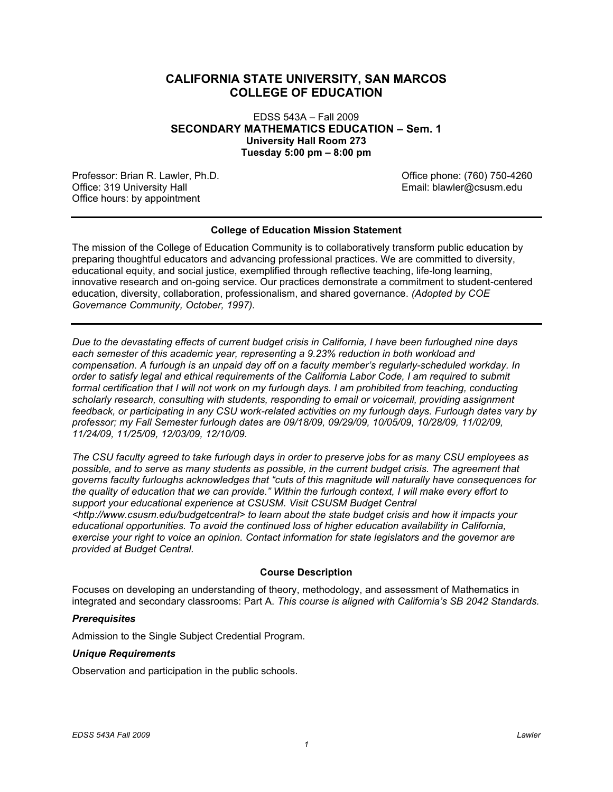# **CALIFORNIA STATE UNIVERSITY, SAN MARCOS COLLEGE OF EDUCATION**

 EDSS 543A – Fall 2009  **SECONDARY MATHEMATICS EDUCATION – Sem. 1 University Hall Room 273 Tuesday 5:00 pm – 8:00 pm** 

Professor: Brian R. Lawler, Ph.D. Charles and Charles and Charles Control of Charles (760) 750-4260 Office: 319 University Hall Office hours: by appointment

Email: blawler@csusm.edu

### **College of Education Mission Statement**

 The mission of the College of Education Community is to collaboratively transform public education by preparing thoughtful educators and advancing professional practices. We are committed to diversity, educational equity, and social justice, exemplified through reflective teaching, life-long learning, innovative research and on-going service. Our practices demonstrate a commitment to student-centered education, diversity, collaboration, professionalism, and shared governance. *(Adopted by COE Governance Community, October, 1997).* 

 *Due to the devastating effects of current budget crisis in California, I have been furloughed nine days each semester of this academic year, representing a 9.23% reduction in both workload and compensation. A furlough is an unpaid day off on a faculty member's regularly-scheduled workday. In order to satisfy legal and ethical requirements of the California Labor Code, I am required to submit formal certification that I will not work on my furlough days. I am prohibited from teaching, conducting scholarly research, consulting with students, responding to email or voicemail, providing assignment feedback, or participating in any CSU work-related activities on my furlough days. Furlough dates vary by professor; my Fall Semester furlough dates are 09/18/09, 09/29/09, 10/05/09, 10/28/09, 11/02/09, 11/24/09, 11/25/09, 12/03/09, 12/10/09.* 

 *The CSU faculty agreed to take furlough days in order to preserve jobs for as many CSU employees as possible, and to serve as many students as possible, in the current budget crisis. The agreement that governs faculty furloughs acknowledges that "cuts of this magnitude will naturally have consequences for the quality of education that we can provide." Within the furlough context, I will make every effort to support your educational experience at CSUSM. Visit CSUSM Budget Central <http://www.csusm.edu/budgetcentral> to learn about the state budget crisis and how it impacts your educational opportunities. To avoid the continued loss of higher education availability in California, exercise your right to voice an opinion. Contact information for state legislators and the governor are provided at Budget Central.* 

### **Course Description**

 Focuses on developing an understanding of theory, methodology, and assessment of Mathematics in integrated and secondary classrooms: Part A. *This course is aligned with California's SB 2042 Standards.* 

*1* 

### *Prerequisites*

Admission to the Single Subject Credential Program.

### *Unique Requirements*

Observation and participation in the public schools.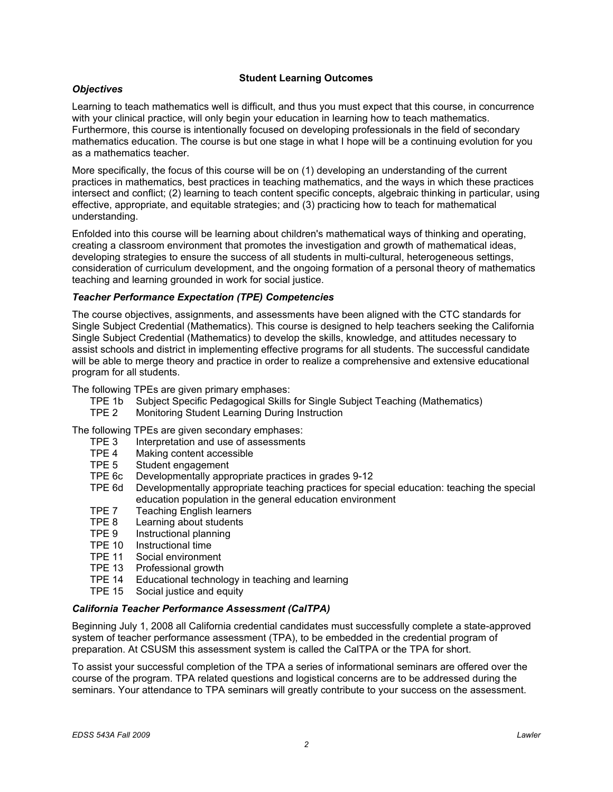### **Student Learning Outcomes**

### *Objectives*

 Learning to teach mathematics well is difficult, and thus you must expect that this course, in concurrence with your clinical practice, will only begin your education in learning how to teach mathematics. Furthermore, this course is intentionally focused on developing professionals in the field of secondary mathematics education. The course is but one stage in what I hope will be a continuing evolution for you as a mathematics teacher.

 More specifically, the focus of this course will be on (1) developing an understanding of the current practices in mathematics, best practices in teaching mathematics, and the ways in which these practices intersect and conflict; (2) learning to teach content specific concepts, algebraic thinking in particular, using effective, appropriate, and equitable strategies; and (3) practicing how to teach for mathematical understanding.

 Enfolded into this course will be learning about children's mathematical ways of thinking and operating, creating a classroom environment that promotes the investigation and growth of mathematical ideas, developing strategies to ensure the success of all students in multi-cultural, heterogeneous settings, consideration of curriculum development, and the ongoing formation of a personal theory of mathematics teaching and learning grounded in work for social justice.

### *Teacher Performance Expectation (TPE) Competencies*

 The course objectives, assignments, and assessments have been aligned with the CTC standards for Single Subject Credential (Mathematics). This course is designed to help teachers seeking the California Single Subject Credential (Mathematics) to develop the skills, knowledge, and attitudes necessary to assist schools and district in implementing effective programs for all students. The successful candidate will be able to merge theory and practice in order to realize a comprehensive and extensive educational program for all students.

The following TPEs are given primary emphases:

- TPE 1b Subject Specific Pedagogical Skills for Single Subject Teaching (Mathematics)
- TPE 2 Monitoring Student Learning During Instruction

The following TPEs are given secondary emphases:

- TPE 3 Interpretation and use of assessments
- TPE 4 Making content accessible
- TPE 5 Student engagement
- TPE 6c Developmentally appropriate practices in grades 9-12
- TPE 6d Developmentally appropriate teaching practices for special education: teaching the special education population in the general education environment
- TPE 7 Teaching English learners
- TPE 8 Learning about students
- TPE 9 Instructional planning
- TPE 10 Instructional time
- TPE 11 Social environment
- TPE 13 Professional growth
- TPE 14 Educational technology in teaching and learning
- TPE 15 Social justice and equity

### *California Teacher Performance Assessment (CalTPA)*

 Beginning July 1, 2008 all California credential candidates must successfully complete a state-approved system of teacher performance assessment (TPA), to be embedded in the credential program of preparation. At CSUSM this assessment system is called the CalTPA or the TPA for short.

 To assist your successful completion of the TPA a series of informational seminars are offered over the course of the program. TPA related questions and logistical concerns are to be addressed during the seminars. Your attendance to TPA seminars will greatly contribute to your success on the assessment.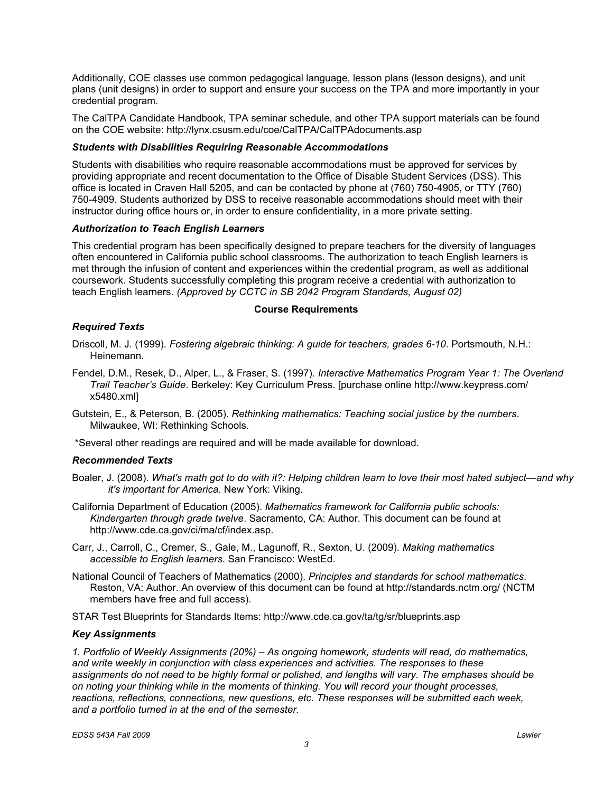Additionally, COE classes use common pedagogical language, lesson plans (lesson designs), and unit plans (unit designs) in order to support and ensure your success on the TPA and more importantly in your credential program.

 The CalTPA Candidate Handbook, TPA seminar schedule, and other TPA support materials can be found on the COE website: http://lynx.csusm.edu/coe/CalTPA/CalTPAdocuments.asp

### *Students with Disabilities Requiring Reasonable Accommodations*

 Students with disabilities who require reasonable accommodations must be approved for services by providing appropriate and recent documentation to the Office of Disable Student Services (DSS). This office is located in Craven Hall 5205, and can be contacted by phone at (760) 750-4905, or TTY (760) 750-4909. Students authorized by DSS to receive reasonable accommodations should meet with their instructor during office hours or, in order to ensure confidentiality, in a more private setting.

### *Authorization to Teach English Learners*

 This credential program has been specifically designed to prepare teachers for the diversity of languages often encountered in California public school classrooms. The authorization to teach English learners is met through the infusion of content and experiences within the credential program, as well as additional coursework. Students successfully completing this program receive a credential with authorization to teach English learners. *(Approved by CCTC in SB 2042 Program Standards, August 02)* 

### **Course Requirements**

### *Required Texts*

- Driscoll, M. J. (1999). *Fostering algebraic thinking: A guide for teachers, grades 6-10*. Portsmouth, N.H.: Heinemann.
- Fendel, D.M., Resek, D., Alper, L., & Fraser, S. (1997). *Interactive Mathematics Program Year 1: The Overland Trail Teacher's Guide*. Berkeley: Key Curriculum Press. [purchase online http://www.keypress.com/ x5480.xml]
- Gutstein, E., & Peterson, B. (2005). *Rethinking mathematics: Teaching social justice by the numbers*. Milwaukee, WI: Rethinking Schools.

\*Several other readings are required and will be made available for download.

### *Recommended Texts*

- Boaler, J. (2008). *What's math got to do with it?: Helping children learn to love their most hated subject—and why it's important for America*. New York: Viking.
- California Department of Education (2005). *Mathematics framework for California public schools: Kindergarten through grade twelve*. Sacramento, CA: Author. This document can be found at http://www.cde.ca.gov/ci/ma/cf/index.asp.
- Carr, J., Carroll, C., Cremer, S., Gale, M., Lagunoff, R., Sexton, U. (2009). *Making mathematics accessible to English learners*. San Francisco: WestEd.
- National Council of Teachers of Mathematics (2000). *Principles and standards for school mathematics*. Reston, VA: Author. An overview of this document can be found at http://standards.nctm.org/ (NCTM members have free and full access).

STAR Test Blueprints for Standards Items: http://www.cde.ca.gov/ta/tg/sr/blueprints.asp

### *Key Assignments*

 *1. Portfolio of Weekly Assignments (20%) – As ongoing homework, students will read, do mathematics, and write weekly in conjunction with class experiences and activities. The responses to these assignments do not need to be highly formal or polished, and lengths will vary. The emphases should be on noting your thinking while in the moments of thinking. You will record your thought processes, reactions, reflections, connections, new questions, etc. These responses will be submitted each week, and a portfolio turned in at the end of the semester.*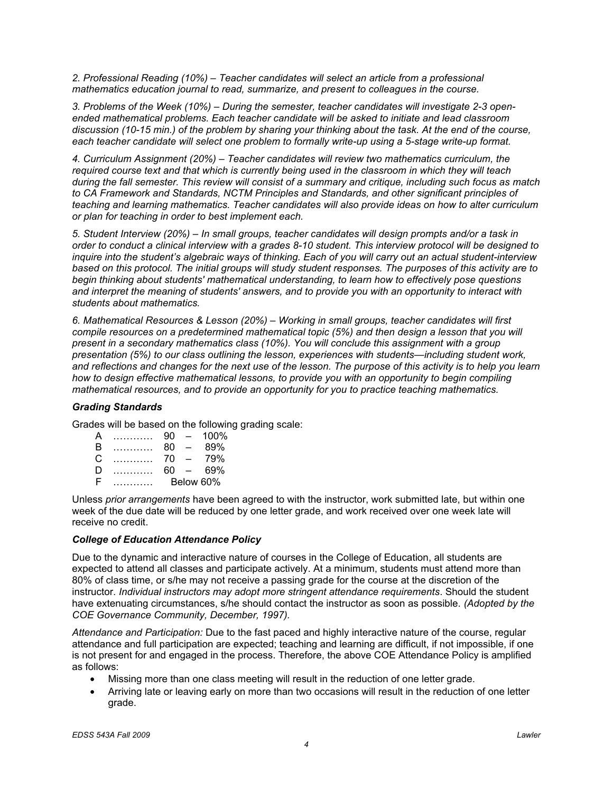2. Professional Reading (10%) – Teacher candidates will select an article from a professional  *mathematics education journal to read, summarize, and present to colleagues in the course.* 

 *3. Problems of the Week (10%) – During the semester, teacher candidates will investigate 2-3 open- ended mathematical problems. Each teacher candidate will be asked to initiate and lead classroom discussion (10-15 min.) of the problem by sharing your thinking about the task. At the end of the course, each teacher candidate will select one problem to formally write-up using a 5-stage write-up format.* 

 *4. Curriculum Assignment (20%) – Teacher candidates will review two mathematics curriculum, the required course text and that which is currently being used in the classroom in which they will teach during the fall semester. This review will consist of a summary and critique, including such focus as match to CA Framework and Standards, NCTM Principles and Standards, and other significant principles of teaching and learning mathematics. Teacher candidates will also provide ideas on how to alter curriculum or plan for teaching in order to best implement each.* 

 *5. Student Interview (20%) – In small groups, teacher candidates will design prompts and/or a task in order to conduct a clinical interview with a grades 8-10 student. This interview protocol will be designed to inquire into the student's algebraic ways of thinking. Each of you will carry out an actual student-interview based on this protocol. The initial groups will study student responses. The purposes of this activity are to begin thinking about students' mathematical understanding, to learn how to effectively pose questions and interpret the meaning of students' answers, and to provide you with an opportunity to interact with students about mathematics.* 

 *6. Mathematical Resources & Lesson (20%) – Working in small groups, teacher candidates will first compile resources on a predetermined mathematical topic (5%) and then design a lesson that you will present in a secondary mathematics class (10%). You will conclude this assignment with a group presentation (5%) to our class outlining the lesson, experiences with students—including student work, and reflections and changes for the next use of the lesson. The purpose of this activity is to help you learn how to design effective mathematical lessons, to provide you with an opportunity to begin compiling mathematical resources, and to provide an opportunity for you to practice teaching mathematics.* 

## *Grading Standards*

Grades will be based on the following grading scale:

| А | . | 90 | $\overline{\phantom{0}}$ | 100%      |
|---|---|----|--------------------------|-----------|
| B | . | 80 | $\equiv$                 | 89%       |
| C |   | 70 | $\equiv$                 | 79%       |
| D |   | 60 | $\sim$                   | 69%       |
| F |   |    |                          | Below 60% |

 Unless *prior arrangements* have been agreed to with the instructor, work submitted late, but within one week of the due date will be reduced by one letter grade, and work received over one week late will receive no credit.

### *College of Education Attendance Policy*

 Due to the dynamic and interactive nature of courses in the College of Education, all students are expected to attend all classes and participate actively. At a minimum, students must attend more than 80% of class time, or s/he may not receive a passing grade for the course at the discretion of the  instructor. *Individual instructors may adopt more stringent attendance requirements*. Should the student have extenuating circumstances, s/he should contact the instructor as soon as possible. *(Adopted by the COE Governance Community, December, 1997).* 

 *Attendance and Participation:* Due to the fast paced and highly interactive nature of the course, regular attendance and full participation are expected; teaching and learning are difficult, if not impossible, if one is not present for and engaged in the process. Therefore, the above COE Attendance Policy is amplified as follows:

- Missing more than one class meeting will result in the reduction of one letter grade.
- $\bullet$ Arriving late or leaving early on more than two occasions will result in the reduction of one letter grade.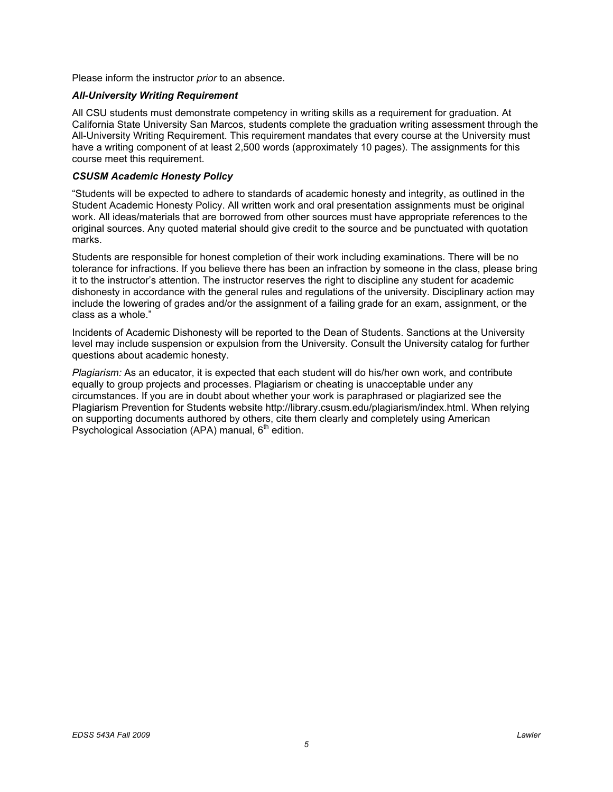Please inform the instructor *prior* to an absence.

#### *All-University Writing Requirement*

 All CSU students must demonstrate competency in writing skills as a requirement for graduation. At California State University San Marcos, students complete the graduation writing assessment through the All-University Writing Requirement. This requirement mandates that every course at the University must have a writing component of at least 2,500 words (approximately 10 pages). The assignments for this course meet this requirement.

#### *CSUSM Academic Honesty Policy*

 "Students will be expected to adhere to standards of academic honesty and integrity, as outlined in the Student Academic Honesty Policy. All written work and oral presentation assignments must be original work. All ideas/materials that are borrowed from other sources must have appropriate references to the original sources. Any quoted material should give credit to the source and be punctuated with quotation marks.

 Students are responsible for honest completion of their work including examinations. There will be no tolerance for infractions. If you believe there has been an infraction by someone in the class, please bring it to the instructor's attention. The instructor reserves the right to discipline any student for academic dishonesty in accordance with the general rules and regulations of the university. Disciplinary action may include the lowering of grades and/or the assignment of a failing grade for an exam, assignment, or the class as a whole."

 Incidents of Academic Dishonesty will be reported to the Dean of Students. Sanctions at the University level may include suspension or expulsion from the University. Consult the University catalog for further questions about academic honesty.

 *Plagiarism:* As an educator, it is expected that each student will do his/her own work, and contribute equally to group projects and processes. Plagiarism or cheating is unacceptable under any circumstances. If you are in doubt about whether your work is paraphrased or plagiarized see the Plagiarism Prevention for Students website http://library.csusm.edu/plagiarism/index.html. When relying on supporting documents authored by others, cite them clearly and completely using American Psychological Association (APA) manual, 6<sup>th</sup> edition.